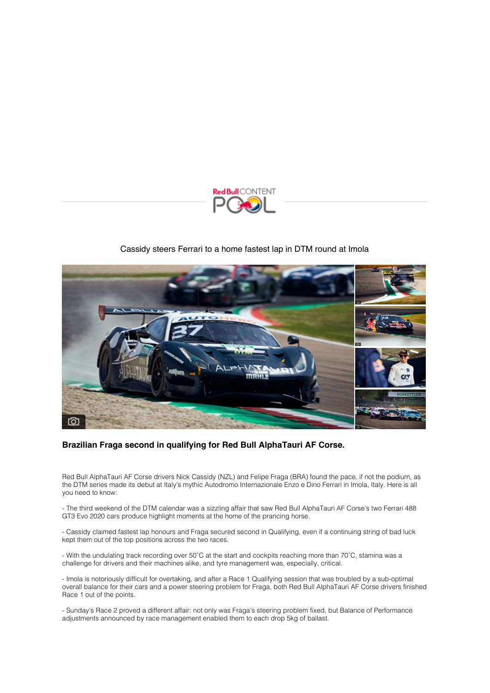

## [Cassidy steers Ferrari to a home fastest lap in DTM round at Imola](https://click.redbullmediapitch.com/CL0/https:%2F%2Fwww.redbullcontentpool.com%2Fnews%2FCP-S-15543%3FtcLang=en%26locale=en%26mp=eAEVzQcNA0EMADBK2aNsLos_hOoBWEZbLQMHBxp5T1tL6Gyk3yq-nxcSJpUj72MHupViK8p04Ux-tG8pHBd1W9Nrmd5C1emrRujpEEHeDT2MAJfYFVRfBG-HIl_18Z4yLp5BS21sBs3eO48FQr09klbDBmGIQV3Z0sTzyYQ65KKjLQqAu6uE0uENNq7cCVbP8g4sL4CHsRgy2HrxmOUWKsZuqItGfMLX9YUNd-q3PJNBK9koiKCm5l0ENUbRHkrol4C-SwLXNi2pUiU3JdUOXcUEM6BokY5YCkmlZk3cyK4Z3WvObnnXxAQU7H0HvBHwUvSwAIOtVFKCtxHoGavOe0rvIWtSgjXne49lyGpz3tqBJoPYGcPChKEdeXHpPCQUnK2AT14_Ckx7-QcpwJRU%26utm_source=mp_contact_179225%26utm_campaign=mp_version_9158%26utm_medium=mediapitch/3/010201817d296253-82c20f1b-8f7d-4c5d-bd8b-b7549164b5bf-000000/ajphEYvJx-08yXcH_UyZb6l-mjvcleqXeaKlMqriIvc=253)



## **Brazilian Fraga second in qualifying for Red Bull AlphaTauri AF Corse.**

Red Bull AlphaTauri AF Corse drivers Nick Cassidy (NZL) and Felipe Fraga (BRA) found the pace, if not the podium, as the DTM series made its debut at Italy's mythic Autodromo Internazionale Enzo e Dino Ferrari in Imola, Italy. Here is all you need to know:

- The third weekend of the DTM calendar was a sizzling affair that saw Red Bull AlphaTauri AF Corse's two Ferrari 488 GT3 Evo 2020 cars produce highlight moments at the home of the prancing horse.

- Cassidy claimed fastest lap honours and Fraga secured second in Qualifying, even if a continuing string of bad luck kept them out of the top positions across the two races.

- With the undulating track recording over 50˚C at the start and cockpits reaching more than 70˚C, stamina was a challenge for drivers and their machines alike, and tyre management was, especially, critical.

- Imola is notoriously difficult for overtaking, and after a Race 1 Qualifying session that was troubled by a sub-optimal overall balance for their cars and a power steering problem for Fraga, both Red Bull AlphaTauri AF Corse drivers finished Race 1 out of the points.

- Sunday's Race 2 proved a different affair: not only was Fraga's steering problem fixed, but Balance of Performance adjustments announced by race management enabled them to each drop 5kg of ballast.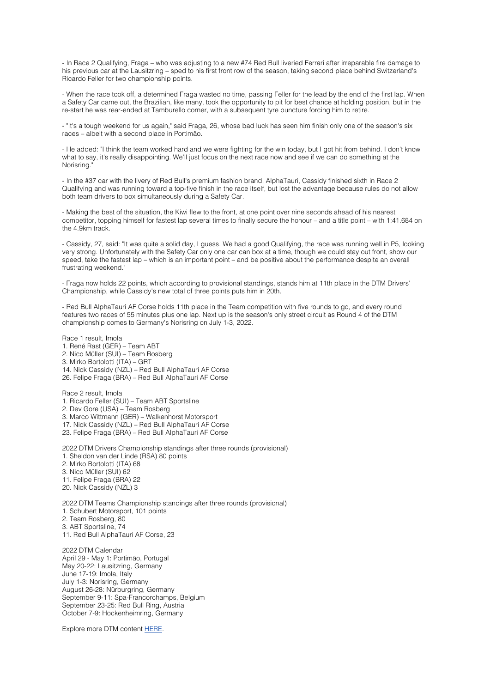- In Race 2 Qualifying, Fraga – who was adjusting to a new #74 Red Bull liveried Ferrari after irreparable fire damage to his previous car at the Lausitzring – sped to his first front row of the season, taking second place behind Switzerland's Ricardo Feller for two championship points.

- When the race took off, a determined Fraga wasted no time, passing Feller for the lead by the end of the first lap. When a Safety Car came out, the Brazilian, like many, took the opportunity to pit for best chance at holding position, but in the re-start he was rear-ended at Tamburello corner, with a subsequent tyre puncture forcing him to retire.

- "It's a tough weekend for us again," said Fraga, 26, whose bad luck has seen him finish only one of the season's six races – albeit with a second place in Portimão.

- He added: "I think the team worked hard and we were fighting for the win today, but I got hit from behind. I don't know what to say, it's really disappointing. We'll just focus on the next race now and see if we can do something at the Norisring.

- In the #37 car with the livery of Red Bull's premium fashion brand, AlphaTauri, Cassidy finished sixth in Race 2 Qualifying and was running toward a top-five finish in the race itself, but lost the advantage because rules do not allow both team drivers to box simultaneously during a Safety Car.

- Making the best of the situation, the Kiwi flew to the front, at one point over nine seconds ahead of his nearest competitor, topping himself for fastest lap several times to finally secure the honour – and a title point – with 1:41.684 on the 4.9km track.

- Cassidy, 27, said: "It was quite a solid day, I guess. We had a good Qualifying, the race was running well in P5, looking very strong. Unfortunately with the Safety Car only one car can box at a time, though we could stay out front, show our speed, take the fastest lap – which is an important point – and be positive about the performance despite an overall frustrating weekend."

- Fraga now holds 22 points, which according to provisional standings, stands him at 11th place in the DTM Drivers' Championship, while Cassidy's new total of three points puts him in 20th.

- Red Bull AlphaTauri AF Corse holds 11th place in the Team competition with five rounds to go, and every round features two races of 55 minutes plus one lap. Next up is the season's only street circuit as Round 4 of the DTM championship comes to Germany's Norisring on July 1-3, 2022.

Race 1 result, Imola 1. René Rast (GER) – Team ABT 2. Nico Müller (SUI) – Team Rosberg 3. Mirko Bortolotti (ITA) – GRT 14. Nick Cassidy (NZL) – Red Bull AlphaTauri AF Corse 26. Felipe Fraga (BRA) – Red Bull AlphaTauri AF Corse

Race 2 result, Imola 1. Ricardo Feller (SUI) – Team ABT Sportsline 2. Dev Gore (USA) – Team Rosberg 3. Marco Wittmann (GER) – Walkenhorst Motorsport 17. Nick Cassidy (NZL) – Red Bull AlphaTauri AF Corse 23. Felipe Fraga (BRA) – Red Bull AlphaTauri AF Corse

2022 DTM Drivers Championship standings after three rounds (provisional) 1. Sheldon van der Linde (RSA) 80 points 2. Mirko Bortolotti (ITA) 68 3. Nico Müller (SUI) 62 11. Felipe Fraga (BRA) 22 20. Nick Cassidy (NZL) 3

2022 DTM Teams Championship standings after three rounds (provisional) 1. Schubert Motorsport, 101 points 2. Team Rosberg, 80 3. ABT Sportsline, 74 11. Red Bull AlphaTauri AF Corse, 23

2022 DTM Calendar April 29 - May 1: Portimão, Portugal May 20-22: Lausitzring, Germany June 17-19: Imola, Italy July 1-3: Norisring, Germany August 26-28: Nürburgring, Germany September 9-11: Spa-Francorchamps, Belgium September 23-25: Red Bull Ring, Austria October 7-9: Hockenheimring, Germany

Explore more DTM content [HERE.](https://click.redbullmediapitch.com/CL0/https:%2F%2Fwww.redbullcontentpool.com%2Fmotorsports/1/010201817d296253-82c20f1b-8f7d-4c5d-bd8b-b7549164b5bf-000000/l9GzlcYe35knEj_KI2k9Ibh8FTZP_0MvkPhfwPXkZV4=253)